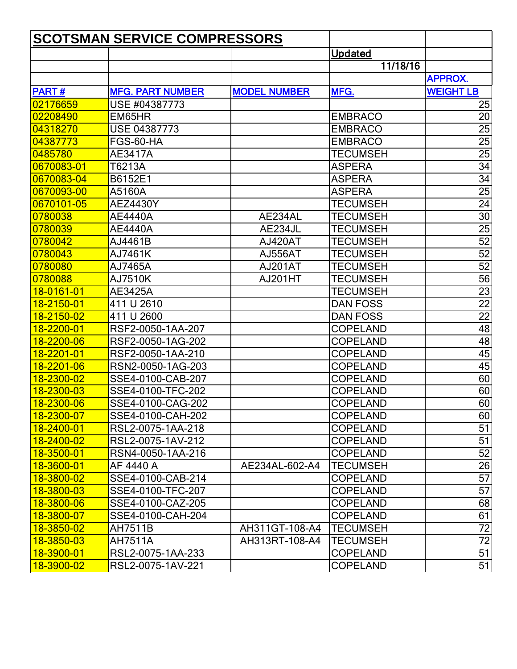| <b>SCOTSMAN SERVICE COMPRESSORS</b> |                         |                     |                 |                  |
|-------------------------------------|-------------------------|---------------------|-----------------|------------------|
|                                     |                         |                     | <b>Updated</b>  |                  |
|                                     |                         |                     | 11/18/16        |                  |
|                                     |                         |                     |                 | <b>APPROX.</b>   |
| <b>PART#</b>                        | <b>MFG. PART NUMBER</b> | <b>MODEL NUMBER</b> | MFG.            | <b>WEIGHT LB</b> |
| 02176659                            | USE #04387773           |                     |                 | 25               |
| 02208490                            | EM65HR                  |                     | <b>EMBRACO</b>  | 20               |
| 04318270                            | <b>USE 04387773</b>     |                     | <b>EMBRACO</b>  | 25               |
| 04387773                            | FGS-60-HA               |                     | <b>EMBRACO</b>  | 25               |
| 0485780                             | AE3417A                 |                     | <b>TECUMSEH</b> | 25               |
| <mark>l0670083-01</mark>            | T6213A                  |                     | <b>ASPERA</b>   | 34               |
| 0670083-04                          | B6152E1                 |                     | <b>ASPERA</b>   | 34               |
| 0670093-00                          | A5160A                  |                     | <b>ASPERA</b>   | 25               |
| 0670101-05                          | <b>AEZ4430Y</b>         |                     | TECUMSEH        | 24               |
| 0780038                             | <b>AE4440A</b>          | AE234AL             | TECUMSEH        | 30               |
| 0780039                             | <b>AE4440A</b>          | AE234JL             | <b>TECUMSEH</b> | 25               |
| 0780042                             | AJ4461B                 | AJ420AT             | <b>TECUMSEH</b> | 52               |
| 0780043                             | AJ7461K                 | <b>AJ556AT</b>      | <b>TECUMSEH</b> | 52               |
| 0780080                             | AJ7465A                 | AJ201AT             | <b>TECUMSEH</b> | 52               |
| 0780088                             | AJ7510K                 | AJ201HT             | TECUMSEH        | 56               |
| 18-0161-01                          | AE3425A                 |                     | TECUMSEH        | 23               |
| 18-2150-01                          | 411 U 2610              |                     | <b>DAN FOSS</b> | 22               |
| 18-2150-02                          | 411 U 2600              |                     | <b>DAN FOSS</b> | 22               |
| 18-2200-01                          | RSF2-0050-1AA-207       |                     | <b>COPELAND</b> | 48               |
| 18-2200-06                          | RSF2-0050-1AG-202       |                     | <b>COPELAND</b> | 48               |
| 18-2201-01                          | RSF2-0050-1AA-210       |                     | <b>COPELAND</b> | 45               |
| 18-2201-06                          | RSN2-0050-1AG-203       |                     | <b>COPELAND</b> | 45               |
| 18-2300-02                          | SSE4-0100-CAB-207       |                     | <b>COPELAND</b> | 60               |
| <mark>18-2300-03</mark>             | SSE4-0100-TFC-202       |                     | <b>COPELAND</b> | 60               |
| 18-2300-06                          | SSE4-0100-CAG-202       |                     | <b>COPELAND</b> | 60               |
| 18-2300-07                          | SSE4-0100-CAH-202       |                     | <b>COPELAND</b> | 60               |
| 18-2400-01                          | RSL2-0075-1AA-218       |                     | <b>COPELAND</b> | 51               |
| 18-2400-02                          | RSL2-0075-1AV-212       |                     | <b>COPELAND</b> | 51               |
| 18-3500-01                          | RSN4-0050-1AA-216       |                     | <b>COPELAND</b> | 52               |
| <mark>18-3600-01</mark>             | AF 4440 A               | AE234AL-602-A4      | <b>TECUMSEH</b> | 26               |
| 18-3800-02                          | SSE4-0100-CAB-214       |                     | <b>COPELAND</b> | 57               |
| 18-3800-03                          | SSE4-0100-TFC-207       |                     | <b>COPELAND</b> | 57               |
| 18-3800-06                          | SSE4-0100-CAZ-205       |                     | <b>COPELAND</b> | 68               |
| 18-3800-07                          | SSE4-0100-CAH-204       |                     | <b>COPELAND</b> | 61               |
| <mark>18-3850-02</mark>             | AH7511B                 | AH311GT-108-A4      | <b>TECUMSEH</b> | 72               |
| <mark>18-3850-03</mark>             | AH7511A                 | AH313RT-108-A4      | <b>TECUMSEH</b> | $\overline{72}$  |
| <mark> 18-3900-01</mark>            | RSL2-0075-1AA-233       |                     | <b>COPELAND</b> | 51               |
| 18-3900-02                          | RSL2-0075-1AV-221       |                     | <b>COPELAND</b> | 51               |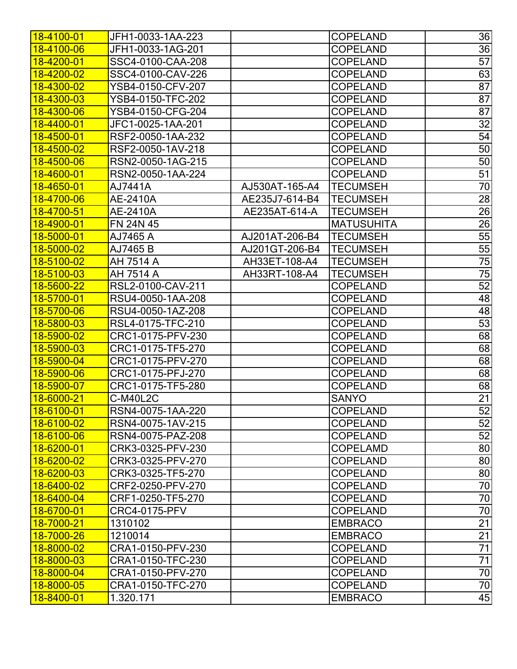| <u> 18-4100-01</u>      | JFH1-0033-1AA-223    |                | <b>COPELAND</b>   | 36              |
|-------------------------|----------------------|----------------|-------------------|-----------------|
| 18-4100-06              | JFH1-0033-1AG-201    |                | <b>COPELAND</b>   | 36              |
| 18-4200-01              | SSC4-0100-CAA-208    |                | <b>COPELAND</b>   | $\overline{57}$ |
| 18-4200-02              | SSC4-0100-CAV-226    |                | <b>COPELAND</b>   | 63              |
| 18-4300-02              | YSB4-0150-CFV-207    |                | <b>COPELAND</b>   | 87              |
| 18-4300-03              | YSB4-0150-TFC-202    |                | <b>COPELAND</b>   | 87              |
| 18-4300-06              | YSB4-0150-CFG-204    |                | <b>COPELAND</b>   | 87              |
| 18-4400-01              | JFC1-0025-1AA-201    |                | <b>COPELAND</b>   | 32              |
| 18-4500-01              | RSF2-0050-1AA-232    |                | <b>COPELAND</b>   | 54              |
| 18-4500-02              | RSF2-0050-1AV-218    |                | <b>COPELAND</b>   | 50              |
| 18-4500-06              | RSN2-0050-1AG-215    |                | <b>COPELAND</b>   | 50              |
| 18-4600-01              | RSN2-0050-1AA-224    |                | <b>COPELAND</b>   | 51              |
| 18-4650-01              | AJ7441A              | AJ530AT-165-A4 | <b>TECUMSEH</b>   | 70              |
| 18-4700-06              | AE-2410A             | AE235J7-614-B4 | <b>TECUMSEH</b>   | $\overline{28}$ |
| 18-4700-51              | AE-2410A             | AE235AT-614-A  | <b>TECUMSEH</b>   | 26              |
| 18-4900-01              | FN 24N 45            |                | <b>MATUSUHITA</b> | 26              |
| 18-5000-01              | AJ7465 A             | AJ201AT-206-B4 | <b>TECUMSEH</b>   | 55              |
| 18-5000-02              | AJ7465 B             | AJ201GT-206-B4 | <b>TECUMSEH</b>   | 55              |
| 18-5100-02              | AH 7514 A            | AH33ET-108-A4  | <b>TECUMSEH</b>   | 75              |
| 18-5100-03              | AH 7514 A            | AH33RT-108-A4  | <b>TECUMSEH</b>   | 75              |
| 18-5600-22              | RSL2-0100-CAV-211    |                | <b>COPELAND</b>   | 52              |
| 18-5700-01              | RSU4-0050-1AA-208    |                | <b>COPELAND</b>   | 48              |
| 18-5700-06              | RSU4-0050-1AZ-208    |                | <b>COPELAND</b>   | 48              |
| 18-5800-03              | RSL4-0175-TFC-210    |                | <b>COPELAND</b>   | 53              |
| 18-5900-02              | CRC1-0175-PFV-230    |                | <b>COPELAND</b>   | 68              |
| 18-5900-03              | CRC1-0175-TF5-270    |                | <b>COPELAND</b>   | 68              |
| 18-5900-04              | CRC1-0175-PFV-270    |                | <b>COPELAND</b>   | 68              |
| 18-5900-06              | CRC1-0175-PFJ-270    |                | <b>COPELAND</b>   | 68              |
| 18-5900-07              | CRC1-0175-TF5-280    |                | <b>COPELAND</b>   | 68              |
| 18-6000-21              | <b>C-M40L2C</b>      |                | <b>SANYO</b>      | $\overline{21}$ |
| 18-6100-01              | RSN4-0075-1AA-220    |                | <b>COPELAND</b>   | $\overline{52}$ |
| 18-6100-02              | RSN4-0075-1AV-215    |                | <b>COPELAND</b>   | 52              |
| <u> 18-6100-06</u>      | RSN4-0075-PAZ-208    |                | <b>COPELAND</b>   | 52              |
| <u> 18-6200-01</u>      | CRK3-0325-PFV-230    |                | <b>COPELAMD</b>   | 80              |
| <mark>18-6200-02</mark> | CRK3-0325-PFV-270    |                | <b>COPELAND</b>   | 80              |
| <mark>18-6200-03</mark> | CRK3-0325-TF5-270    |                | <b>COPELAND</b>   | 80              |
| 18-6400-02              | CRF2-0250-PFV-270    |                | <b>COPELAND</b>   | 70              |
| 18-6400-04              | CRF1-0250-TF5-270    |                | <b>COPELAND</b>   | 70              |
| <mark>18-6700-01</mark> | <b>CRC4-0175-PFV</b> |                | <b>COPELAND</b>   | $\overline{70}$ |
| 18-7000-21              | 1310102              |                | <b>EMBRACO</b>    | $\overline{21}$ |
| 18-7000-26              | 1210014              |                | <b>EMBRACO</b>    | 21              |
| 18-8000-02              | CRA1-0150-PFV-230    |                | <b>COPELAND</b>   | $\overline{71}$ |
| 18-8000-03              | CRA1-0150-TFC-230    |                | <b>COPELAND</b>   | $\overline{71}$ |
| 18-8000-04              | CRA1-0150-PFV-270    |                | <b>COPELAND</b>   | 70              |
| 18-8000-05              | CRA1-0150-TFC-270    |                | <b>COPELAND</b>   | 70              |
| <mark>18-8400-01</mark> | 1.320.171            |                | <b>EMBRACO</b>    | 45              |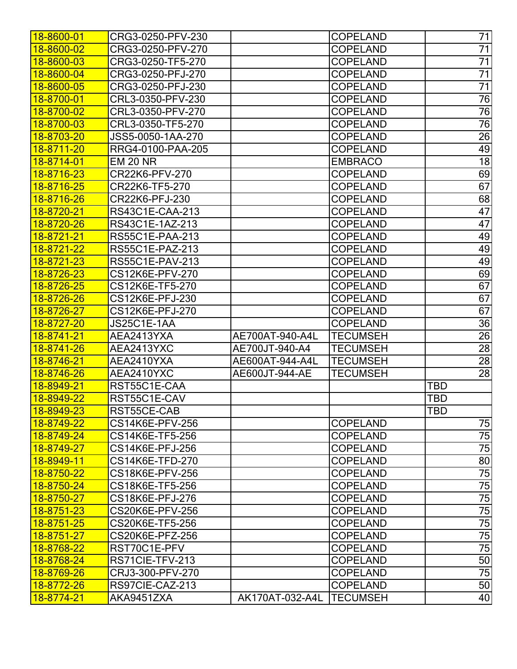| 18-8600-01              | CRG3-0250-PFV-230 |                 | <b>COPELAND</b> | 71              |
|-------------------------|-------------------|-----------------|-----------------|-----------------|
| <mark>18-8600-02</mark> | CRG3-0250-PFV-270 |                 | <b>COPELAND</b> | 71              |
| 18-8600-03              | CRG3-0250-TF5-270 |                 | <b>COPELAND</b> | $\overline{71}$ |
| 18-8600-04              | CRG3-0250-PFJ-270 |                 | <b>COPELAND</b> | $\overline{71}$ |
| 18-8600-05              | CRG3-0250-PFJ-230 |                 | <b>COPELAND</b> | 71              |
| 18-8700-01              | CRL3-0350-PFV-230 |                 | <b>COPELAND</b> | 76              |
| 18-8700-02              | CRL3-0350-PFV-270 |                 | <b>COPELAND</b> | 76              |
| 18-8700-03              | CRL3-0350-TF5-270 |                 | <b>COPELAND</b> | 76              |
| 18-8703-20              | JSS5-0050-1AA-270 |                 | <b>COPELAND</b> | 26              |
| <mark>18-8711-20</mark> | RRG4-0100-PAA-205 |                 | <b>COPELAND</b> | 49              |
| 18-8714-01              | <b>EM 20 NR</b>   |                 | <b>EMBRACO</b>  | 18              |
| 18-8716-23              | CR22K6-PFV-270    |                 | <b>COPELAND</b> | 69              |
| 18-8716-25              | CR22K6-TF5-270    |                 | <b>COPELAND</b> | 67              |
| 18-8716-26              | CR22K6-PFJ-230    |                 | <b>COPELAND</b> | 68              |
| 18-8720-21              | RS43C1E-CAA-213   |                 | <b>COPELAND</b> | 47              |
| 18-8720-26              | RS43C1E-1AZ-213   |                 | <b>COPELAND</b> | 47              |
| 18-8721-21              | RS55C1E-PAA-213   |                 | <b>COPELAND</b> | 49              |
| 18-8721-22              | RS55C1E-PAZ-213   |                 | <b>COPELAND</b> | 49              |
| 18-8721-23              | RS55C1E-PAV-213   |                 | <b>COPELAND</b> | 49              |
| 18-8726-23              | CS12K6E-PFV-270   |                 | <b>COPELAND</b> | 69              |
| 18-8726-25              | CS12K6E-TF5-270   |                 | <b>COPELAND</b> | 67              |
| 18-8726-26              | CS12K6E-PFJ-230   |                 | <b>COPELAND</b> | 67              |
| 18-8726-27              | CS12K6E-PFJ-270   |                 | <b>COPELAND</b> | 67              |
| 18-8727-20              | JS25C1E-1AA       |                 | <b>COPELAND</b> | 36              |
| 18-8741-21              | AEA2413YXA        | AE700AT-940-A4L | <b>TECUMSEH</b> | $\overline{26}$ |
| 18-8741-26              | AEA2413YXC        | AE700JT-940-A4  | <b>TECUMSEH</b> | 28              |
| 18-8746-21              | AEA2410YXA        | AE600AT-944-A4L | <b>TECUMSEH</b> | $\overline{28}$ |
| 18-8746-26              | AEA2410YXC        | AE600JT-944-AE  | <b>TECUMSEH</b> | 28              |
| 18-8949-21              | RST55C1E-CAA      |                 |                 | <b>TBD</b>      |
| 18-8949-22              | RST55C1E-CAV      |                 |                 | TBD             |
| 18-8949-23              | RST55CE-CAB       |                 |                 | <b>TBD</b>      |
| 18-8749-22              | CS14K6E-PFV-256   |                 | <b>COPELAND</b> | 75              |
| <mark>18-8749-24</mark> | CS14K6E-TF5-256   |                 | <b>COPELAND</b> | 75              |
| <mark>18-8749-27</mark> | CS14K6E-PFJ-256   |                 | <b>COPELAND</b> | 75              |
| 18-8949-11              | CS14K6E-TFD-270   |                 | <b>COPELAND</b> | 80              |
| 18-8750-22              | CS18K6E-PFV-256   |                 | <b>COPELAND</b> | 75              |
| 18-8750-24              | CS18K6E-TF5-256   |                 | <b>COPELAND</b> | 75              |
| <mark>18-8750-27</mark> | CS18K6E-PFJ-276   |                 | <b>COPELAND</b> | 75              |
| 18-8751-23              | CS20K6E-PFV-256   |                 | <b>COPELAND</b> | $\overline{75}$ |
| <mark>18-8751-25</mark> | CS20K6E-TF5-256   |                 | <b>COPELAND</b> | 75              |
| <mark>18-8751-27</mark> | CS20K6E-PFZ-256   |                 | <b>COPELAND</b> | $\overline{75}$ |
| 18-8768-22              | RST70C1E-PFV      |                 | <b>COPELAND</b> | $\overline{75}$ |
| <mark>18-8768-24</mark> | RS71CIE-TFV-213   |                 | <b>COPELAND</b> | 50              |
| 18-8769-26              | CRJ3-300-PFV-270  |                 | <b>COPELAND</b> | 75              |
| 18-8772-26              | RS97CIE-CAZ-213   |                 | <b>COPELAND</b> | 50              |
| <mark>18-8774-21</mark> | AKA9451ZXA        | AK170AT-032-A4L | <b>TECUMSEH</b> | 40              |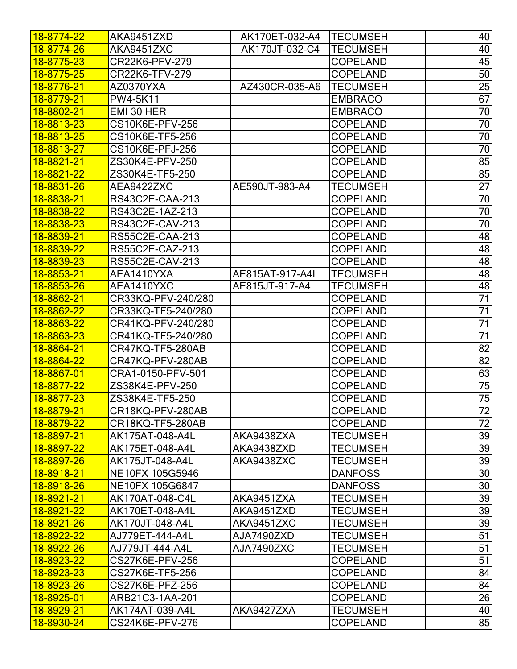| <u> 18-8774-22</u>      | AKA9451ZXD         | AK170ET-032-A4  | <b>TECUMSEH</b> | 40              |
|-------------------------|--------------------|-----------------|-----------------|-----------------|
| 18-8774-26              | AKA9451ZXC         | AK170JT-032-C4  | <b>TECUMSEH</b> | 40              |
| 18-8775-23              | CR22K6-PFV-279     |                 | <b>COPELAND</b> | 45              |
| 18-8775-25              | CR22K6-TFV-279     |                 | <b>COPELAND</b> | 50              |
| 18-8776-21              | AZ0370YXA          | AZ430CR-035-A6  | <b>TECUMSEH</b> | 25              |
| 18-8779-21              | PW4-5K11           |                 | <b>EMBRACO</b>  | 67              |
| 18-8802-21              | EMI 30 HER         |                 | <b>EMBRACO</b>  | 70              |
| 18-8813-23              | CS10K6E-PFV-256    |                 | <b>COPELAND</b> | 70              |
| 18-8813-25              | CS10K6E-TF5-256    |                 | <b>COPELAND</b> | 70              |
| <mark>18-8813-27</mark> | CS10K6E-PFJ-256    |                 | <b>COPELAND</b> | 70              |
| 18-8821-21              | ZS30K4E-PFV-250    |                 | <b>COPELAND</b> | 85              |
| 18-8821-22              | ZS30K4E-TF5-250    |                 | <b>COPELAND</b> | 85              |
| 18-8831-26              | AEA9422ZXC         | AE590JT-983-A4  | <b>TECUMSEH</b> | 27              |
| 18-8838-21              | RS43C2E-CAA-213    |                 | <b>COPELAND</b> | 70              |
| 18-8838-22              | RS43C2E-1AZ-213    |                 | <b>COPELAND</b> | $\overline{70}$ |
| 18-8838-23              | RS43C2E-CAV-213    |                 | <b>COPELAND</b> | 70              |
| <mark>18-8839-21</mark> | RS55C2E-CAA-213    |                 | <b>COPELAND</b> | 48              |
| 18-8839-22              | RS55C2E-CAZ-213    |                 | <b>COPELAND</b> | 48              |
| 18-8839-23              | RS55C2E-CAV-213    |                 | <b>COPELAND</b> | 48              |
| 18-8853-21              | AEA1410YXA         | AE815AT-917-A4L | <b>TECUMSEH</b> | 48              |
| 18-8853-26              | AEA1410YXC         | AE815JT-917-A4  | <b>TECUMSEH</b> | 48              |
| 18-8862-21              | CR33KQ-PFV-240/280 |                 | <b>COPELAND</b> | 71              |
| 18-8862-22              | CR33KQ-TF5-240/280 |                 | <b>COPELAND</b> | 71              |
| 18-8863-22              | CR41KQ-PFV-240/280 |                 | <b>COPELAND</b> | 71              |
| 18-8863-23              | CR41KQ-TF5-240/280 |                 | <b>COPELAND</b> | $\overline{71}$ |
| 18-8864-21              | CR47KQ-TF5-280AB   |                 | <b>COPELAND</b> | 82              |
| 18-8864-22              | CR47KQ-PFV-280AB   |                 | <b>COPELAND</b> | 82              |
| 18-8867-01              | CRA1-0150-PFV-501  |                 | <b>COPELAND</b> | 63              |
| 18-8877-22              | ZS38K4E-PFV-250    |                 | <b>COPELAND</b> | 75              |
| 18-8877-23              | ZS38K4E-TF5-250    |                 | <b>COPELAND</b> | $\overline{75}$ |
| 18-8879-21              | CR18KQ-PFV-280AB   |                 | <b>COPELAND</b> | $\overline{72}$ |
| <mark>18-8879-22</mark> | CR18KQ-TF5-280AB   |                 | <b>COPELAND</b> | 72              |
| <mark>18-8897-21</mark> | AK175AT-048-A4L    | AKA9438ZXA      | <b>TECUMSEH</b> | 39              |
| <mark>18-8897-22</mark> | AK175ET-048-A4L    | AKA9438ZXD      | <b>TECUMSEH</b> | 39              |
| 18-8897-26              | AK175JT-048-A4L    | AKA9438ZXC      | <b>TECUMSEH</b> | 39              |
| <mark>18-8918-21</mark> | NE10FX 105G5946    |                 | <b>DANFOSS</b>  | 30              |
| 18-8918-26              | NE10FX 105G6847    |                 | <b>DANFOSS</b>  | 30              |
| <mark>18-8921-21</mark> | AK170AT-048-C4L    | AKA9451ZXA      | <b>TECUMSEH</b> | 39              |
| 18-8921-22              | AK170ET-048-A4L    | AKA9451ZXD      | <b>TECUMSEH</b> | 39              |
| 18-8921-26              | AK170JT-048-A4L    | AKA9451ZXC      | <b>TECUMSEH</b> | 39              |
| 18-8922-22              | AJ779ET-444-A4L    | AJA7490ZXD      | <b>TECUMSEH</b> | $\overline{51}$ |
| <mark>18-8922-26</mark> | AJ779JT-444-A4L    | AJA7490ZXC      | <b>TECUMSEH</b> | 51              |
| 18-8923-22              | CS27K6E-PFV-256    |                 | <b>COPELAND</b> | $\overline{51}$ |
| 18-8923-23              | CS27K6E-TF5-256    |                 | <b>COPELAND</b> | 84              |
| 18-8923-26              | CS27K6E-PFZ-256    |                 | <b>COPELAND</b> | 84              |
| <mark>18-8925-01</mark> | ARB21C3-1AA-201    |                 | <b>COPELAND</b> | 26              |
| <mark>18-8929-21</mark> | AK174AT-039-A4L    | AKA9427ZXA      | <b>TECUMSEH</b> | 40              |
| 18-8930-24              | CS24K6E-PFV-276    |                 | <b>COPELAND</b> | 85              |